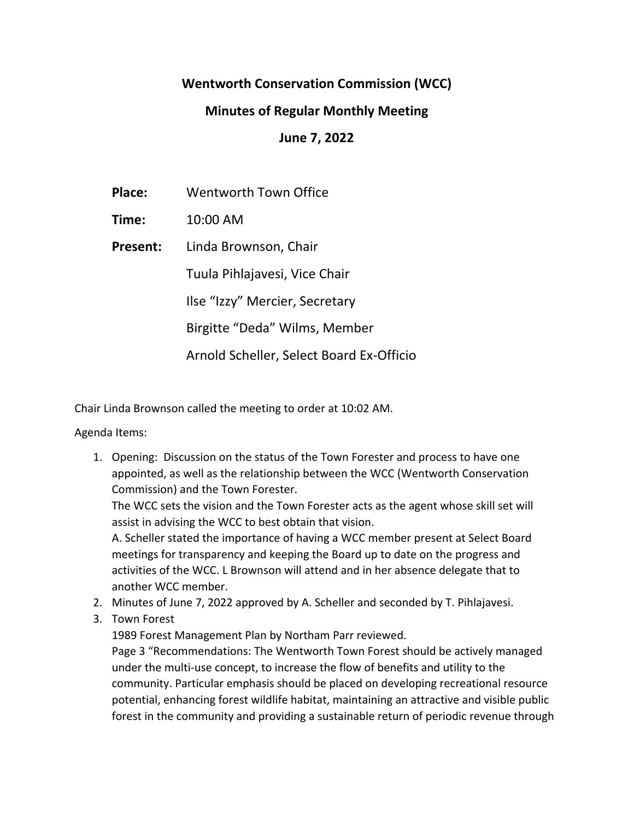# **Wentworth Conservation Commission (WCC)**

# **Minutes of Regular Monthly Meeting**

**June 7, 2022**

**Place:** Wentworth Town Office

**Time:** 10:00 AM

**Present:** Linda Brownson, Chair

Tuula Pihlajavesi, Vice Chair

Ilse "Izzy" Mercier, Secretary

Birgitte "Deda" Wilms, Member

Arnold Scheller, Select Board Ex-Officio

Chair Linda Brownson called the meeting to order at 10:02 AM.

Agenda Items:

1. Opening: Discussion on the status of the Town Forester and process to have one appointed, as well as the relationship between the WCC (Wentworth Conservation Commission) and the Town Forester.

The WCC sets the vision and the Town Forester acts as the agent whose skill set will assist in advising the WCC to best obtain that vision.

A. Scheller stated the importance of having a WCC member present at Select Board meetings for transparency and keeping the Board up to date on the progress and activities of the WCC. L Brownson will attend and in her absence delegate that to another WCC member.

- 2. Minutes of June 7, 2022 approved by A. Scheller and seconded by T. Pihlajavesi.
- 3. Town Forest

1989 Forest Management Plan by Northam Parr reviewed.

Page 3 "Recommendations: The Wentworth Town Forest should be actively managed under the multi-use concept, to increase the flow of benefits and utility to the community. Particular emphasis should be placed on developing recreational resource potential, enhancing forest wildlife habitat, maintaining an attractive and visible public forest in the community and providing a sustainable return of periodic revenue through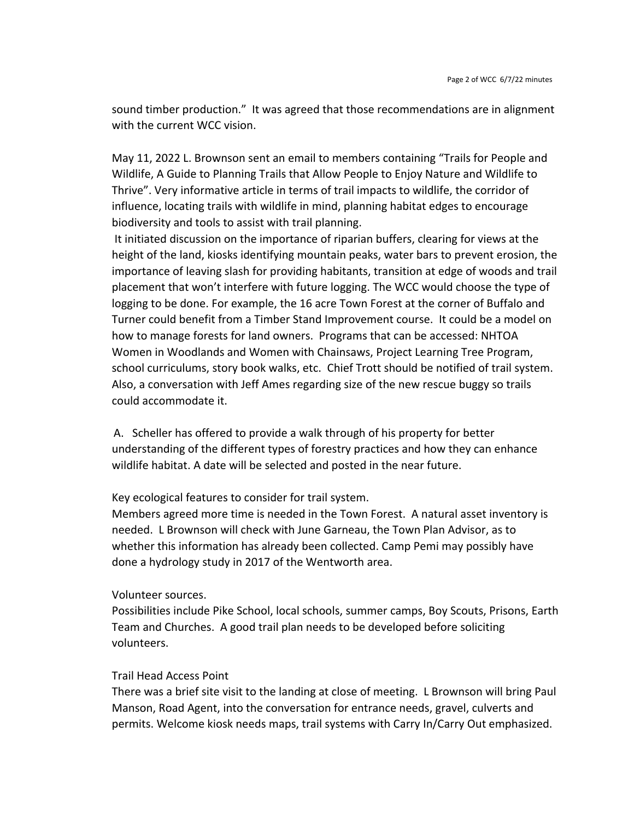sound timber production." It was agreed that those recommendations are in alignment with the current WCC vision.

May 11, 2022 L. Brownson sent an email to members containing "Trails for People and Wildlife, A Guide to Planning Trails that Allow People to Enjoy Nature and Wildlife to Thrive". Very informative article in terms of trail impacts to wildlife, the corridor of influence, locating trails with wildlife in mind, planning habitat edges to encourage biodiversity and tools to assist with trail planning.

It initiated discussion on the importance of riparian buffers, clearing for views at the height of the land, kiosks identifying mountain peaks, water bars to prevent erosion, the importance of leaving slash for providing habitants, transition at edge of woods and trail placement that won't interfere with future logging. The WCC would choose the type of logging to be done. For example, the 16 acre Town Forest at the corner of Buffalo and Turner could benefit from a Timber Stand Improvement course. It could be a model on how to manage forests for land owners. Programs that can be accessed: NHTOA Women in Woodlands and Women with Chainsaws, Project Learning Tree Program, school curriculums, story book walks, etc. Chief Trott should be notified of trail system. Also, a conversation with Jeff Ames regarding size of the new rescue buggy so trails could accommodate it.

A. Scheller has offered to provide a walk through of his property for better understanding of the different types of forestry practices and how they can enhance wildlife habitat. A date will be selected and posted in the near future.

## Key ecological features to consider for trail system.

Members agreed more time is needed in the Town Forest. A natural asset inventory is needed. L Brownson will check with June Garneau, the Town Plan Advisor, as to whether this information has already been collected. Camp Pemi may possibly have done a hydrology study in 2017 of the Wentworth area.

## Volunteer sources.

Possibilities include Pike School, local schools, summer camps, Boy Scouts, Prisons, Earth Team and Churches. A good trail plan needs to be developed before soliciting volunteers.

## Trail Head Access Point

There was a brief site visit to the landing at close of meeting. L Brownson will bring Paul Manson, Road Agent, into the conversation for entrance needs, gravel, culverts and permits. Welcome kiosk needs maps, trail systems with Carry In/Carry Out emphasized.